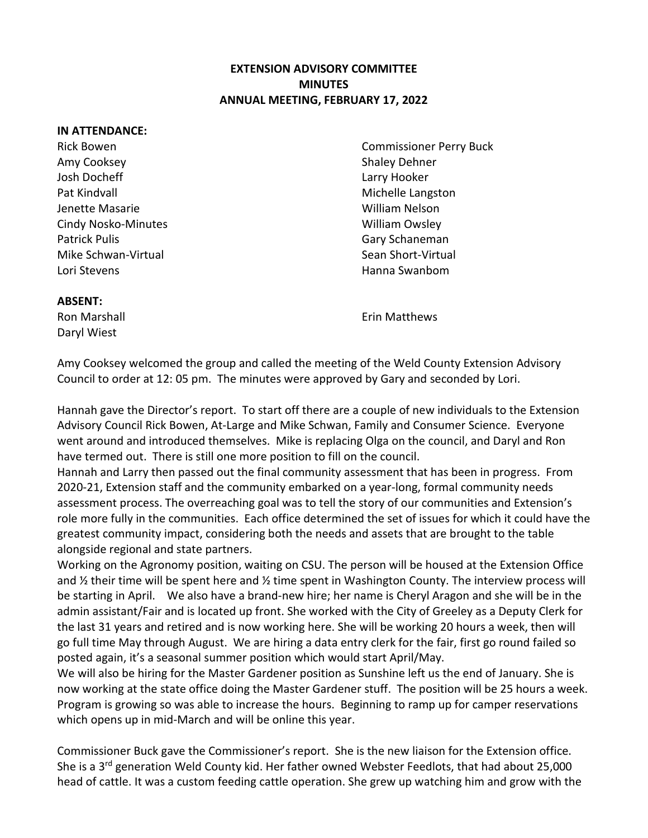## **EXTENSION ADVISORY COMMITTEE MINUTES ANNUAL MEETING, FEBRUARY 17, 2022**

## **IN ATTENDANCE:**

Amy Cooksey **Shaley Dehner** Shaley Dehner Josh Docheff Larry Hooker Pat Kindvall Michelle Langston and Michelle Langston Jenette Masarie William Nelson Cindy Nosko-Minutes William Owsley Patrick Pulis **Cary Schaneman** Mike Schwan-Virtual Nike Sean Short-Virtual Sean Short-Virtual Lori Stevens Hanna Swanbom

Rick Bowen Commissioner Perry Buck

## **ABSENT:**

Daryl Wiest

Ron Marshall **Example 20** Section 2014 12:00 From Matthews

Amy Cooksey welcomed the group and called the meeting of the Weld County Extension Advisory Council to order at 12: 05 pm. The minutes were approved by Gary and seconded by Lori.

Hannah gave the Director's report. To start off there are a couple of new individuals to the Extension Advisory Council Rick Bowen, At-Large and Mike Schwan, Family and Consumer Science. Everyone went around and introduced themselves. Mike is replacing Olga on the council, and Daryl and Ron have termed out. There is still one more position to fill on the council.

Hannah and Larry then passed out the final community assessment that has been in progress. From 2020-21, Extension staff and the community embarked on a year-long, formal community needs assessment process. The overreaching goal was to tell the story of our communities and Extension's role more fully in the communities. Each office determined the set of issues for which it could have the greatest community impact, considering both the needs and assets that are brought to the table alongside regional and state partners.

Working on the Agronomy position, waiting on CSU. The person will be housed at the Extension Office and ½ their time will be spent here and ½ time spent in Washington County. The interview process will be starting in April. We also have a brand-new hire; her name is Cheryl Aragon and she will be in the admin assistant/Fair and is located up front. She worked with the City of Greeley as a Deputy Clerk for the last 31 years and retired and is now working here. She will be working 20 hours a week, then will go full time May through August. We are hiring a data entry clerk for the fair, first go round failed so posted again, it's a seasonal summer position which would start April/May.

We will also be hiring for the Master Gardener position as Sunshine left us the end of January. She is now working at the state office doing the Master Gardener stuff. The position will be 25 hours a week. Program is growing so was able to increase the hours. Beginning to ramp up for camper reservations which opens up in mid-March and will be online this year.

Commissioner Buck gave the Commissioner's report. She is the new liaison for the Extension office. She is a 3<sup>rd</sup> generation Weld County kid. Her father owned Webster Feedlots, that had about 25,000 head of cattle. It was a custom feeding cattle operation. She grew up watching him and grow with the